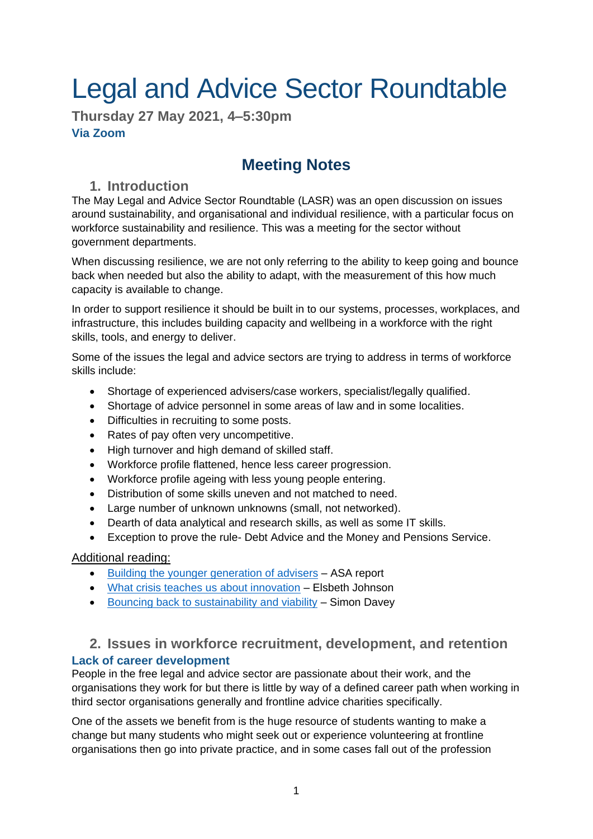# Legal and Advice Sector Roundtable

**Thursday 27 May 2021, 4–5:30pm Via Zoom**

# **Meeting Notes**

# **1. Introduction**

The May Legal and Advice Sector Roundtable (LASR) was an open discussion on issues around sustainability, and organisational and individual resilience, with a particular focus on workforce sustainability and resilience. This was a meeting for the sector without government departments.

When discussing resilience, we are not only referring to the ability to keep going and bounce back when needed but also the ability to adapt, with the measurement of this how much capacity is available to change.

In order to support resilience it should be built in to our systems, processes, workplaces, and infrastructure, this includes building capacity and wellbeing in a workforce with the right skills, tools, and energy to deliver.

Some of the issues the legal and advice sectors are trying to address in terms of workforce skills include:

- Shortage of experienced advisers/case workers, specialist/legally qualified.
- Shortage of advice personnel in some areas of law and in some localities.
- Difficulties in recruiting to some posts.
- Rates of pay often very uncompetitive.
- High turnover and high demand of skilled staff.
- Workforce profile flattened, hence less career progression.
- Workforce profile ageing with less young people entering.
- Distribution of some skills uneven and not matched to need.
- Large number of unknown unknowns (small, not networked).
- Dearth of data analytical and research skills, as well as some IT skills.
- Exception to prove the rule- Debt Advice and the Money and Pensions Service.

# Additional reading:

- [Building the younger generation of advisers](https://asauk.org.uk/wp-content/uploads/2020/11/Building-the-younger-generation-of-advisers.pdf) ASA report
- [What crisis teaches us about innovation](https://sloanreview.mit.edu/article/what-a-crisis-teaches-us-about-innovation/) Elsbeth Johnson
- [Bouncing back to sustainability and viability](http://www.drsimondavey.com/journal/2020/8/4/bouncing-back-to-sustainability-and-viability.html) Simon Davey

# **2. Issues in workforce recruitment, development, and retention**

# **Lack of career development**

People in the free legal and advice sector are passionate about their work, and the organisations they work for but there is little by way of a defined career path when working in third sector organisations generally and frontline advice charities specifically.

One of the assets we benefit from is the huge resource of students wanting to make a change but many students who might seek out or experience volunteering at frontline organisations then go into private practice, and in some cases fall out of the profession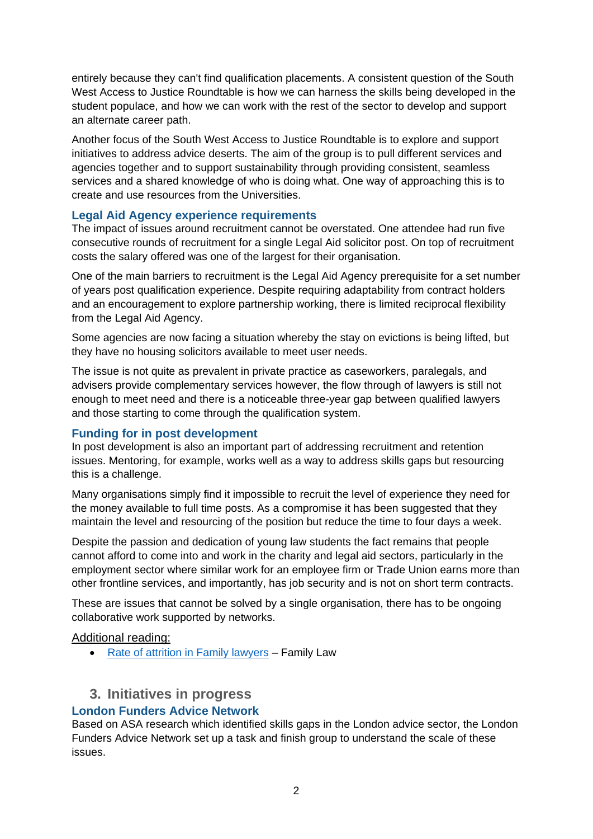entirely because they can't find qualification placements. A consistent question of the South West Access to Justice Roundtable is how we can harness the skills being developed in the student populace, and how we can work with the rest of the sector to develop and support an alternate career path.

Another focus of the South West Access to Justice Roundtable is to explore and support initiatives to address advice deserts. The aim of the group is to pull different services and agencies together and to support sustainability through providing consistent, seamless services and a shared knowledge of who is doing what. One way of approaching this is to create and use resources from the Universities.

# **Legal Aid Agency experience requirements**

The impact of issues around recruitment cannot be overstated. One attendee had run five consecutive rounds of recruitment for a single Legal Aid solicitor post. On top of recruitment costs the salary offered was one of the largest for their organisation.

One of the main barriers to recruitment is the Legal Aid Agency prerequisite for a set number of years post qualification experience. Despite requiring adaptability from contract holders and an encouragement to explore partnership working, there is limited reciprocal flexibility from the Legal Aid Agency.

Some agencies are now facing a situation whereby the stay on evictions is being lifted, but they have no housing solicitors available to meet user needs.

The issue is not quite as prevalent in private practice as caseworkers, paralegals, and advisers provide complementary services however, the flow through of lawyers is still not enough to meet need and there is a noticeable three-year gap between qualified lawyers and those starting to come through the qualification system.

# **Funding for in post development**

In post development is also an important part of addressing recruitment and retention issues. Mentoring, for example, works well as a way to address skills gaps but resourcing this is a challenge.

Many organisations simply find it impossible to recruit the level of experience they need for the money available to full time posts. As a compromise it has been suggested that they maintain the level and resourcing of the position but reduce the time to four days a week.

Despite the passion and dedication of young law students the fact remains that people cannot afford to come into and work in the charity and legal aid sectors, particularly in the employment sector where similar work for an employee firm or Trade Union earns more than other frontline services, and importantly, has job security and is not on short term contracts.

These are issues that cannot be solved by a single organisation, there has to be ongoing collaborative work supported by networks.

# Additional reading:

• [Rate of attrition in Family lawyers](https://www.familylaw.co.uk/news_and_comment/one-in-four-family-lawyers-contemplates-leaving-the-profession-resolution-reveals) – Family Law

# **3. Initiatives in progress**

# **London Funders Advice Network**

Based on ASA research which identified skills gaps in the London advice sector, the London Funders Advice Network set up a task and finish group to understand the scale of these issues.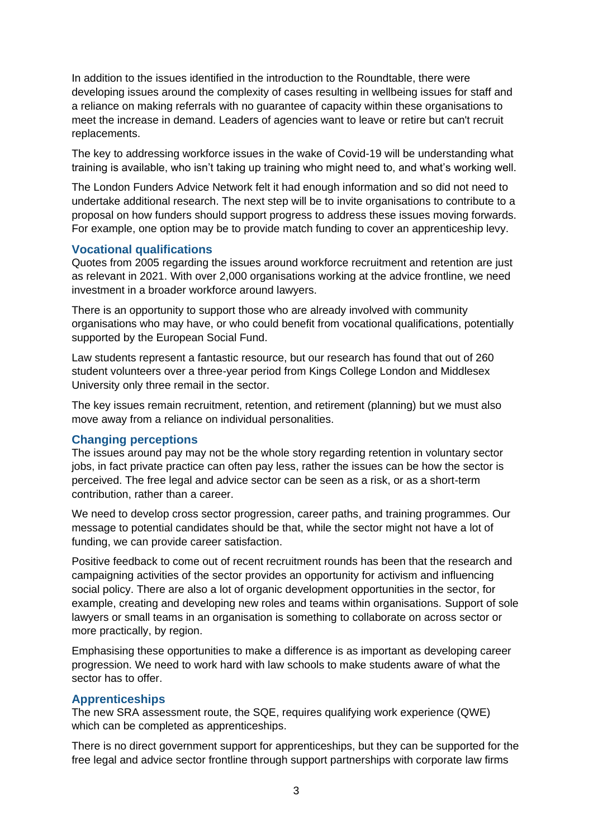In addition to the issues identified in the introduction to the Roundtable, there were developing issues around the complexity of cases resulting in wellbeing issues for staff and a reliance on making referrals with no guarantee of capacity within these organisations to meet the increase in demand. Leaders of agencies want to leave or retire but can't recruit replacements.

The key to addressing workforce issues in the wake of Covid-19 will be understanding what training is available, who isn't taking up training who might need to, and what's working well.

The London Funders Advice Network felt it had enough information and so did not need to undertake additional research. The next step will be to invite organisations to contribute to a proposal on how funders should support progress to address these issues moving forwards. For example, one option may be to provide match funding to cover an apprenticeship levy.

#### **Vocational qualifications**

Quotes from 2005 regarding the issues around workforce recruitment and retention are just as relevant in 2021. With over 2,000 organisations working at the advice frontline, we need investment in a broader workforce around lawyers.

There is an opportunity to support those who are already involved with community organisations who may have, or who could benefit from vocational qualifications, potentially supported by the European Social Fund.

Law students represent a fantastic resource, but our research has found that out of 260 student volunteers over a three-year period from Kings College London and Middlesex University only three remail in the sector.

The key issues remain recruitment, retention, and retirement (planning) but we must also move away from a reliance on individual personalities.

#### **Changing perceptions**

The issues around pay may not be the whole story regarding retention in voluntary sector jobs, in fact private practice can often pay less, rather the issues can be how the sector is perceived. The free legal and advice sector can be seen as a risk, or as a short-term contribution, rather than a career.

We need to develop cross sector progression, career paths, and training programmes. Our message to potential candidates should be that, while the sector might not have a lot of funding, we can provide career satisfaction.

Positive feedback to come out of recent recruitment rounds has been that the research and campaigning activities of the sector provides an opportunity for activism and influencing social policy. There are also a lot of organic development opportunities in the sector, for example, creating and developing new roles and teams within organisations. Support of sole lawyers or small teams in an organisation is something to collaborate on across sector or more practically, by region.

Emphasising these opportunities to make a difference is as important as developing career progression. We need to work hard with law schools to make students aware of what the sector has to offer.

#### **Apprenticeships**

The new SRA assessment route, the SQE, requires qualifying work experience (QWE) which can be completed as apprenticeships.

There is no direct government support for apprenticeships, but they can be supported for the free legal and advice sector frontline through support partnerships with corporate law firms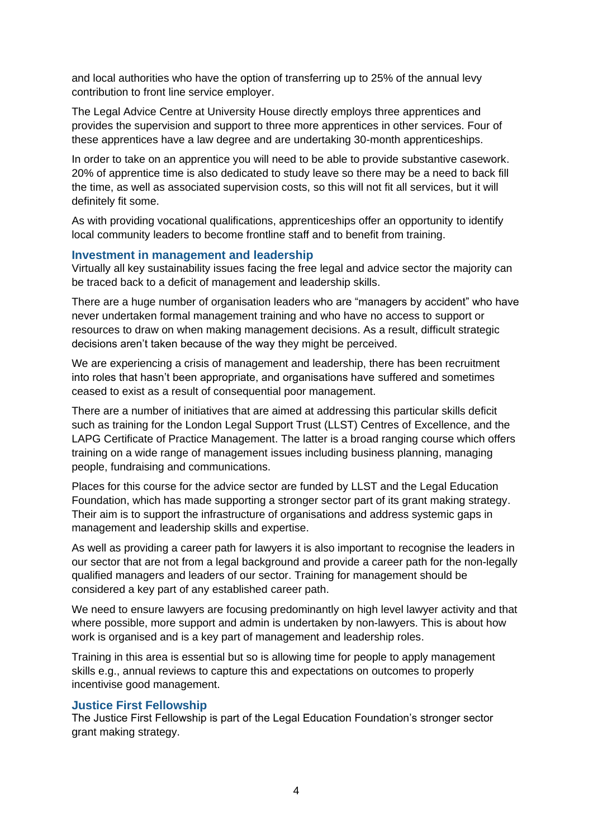and local authorities who have the option of transferring up to 25% of the annual levy contribution to front line service employer.

The Legal Advice Centre at University House directly employs three apprentices and provides the supervision and support to three more apprentices in other services. Four of these apprentices have a law degree and are undertaking 30-month apprenticeships.

In order to take on an apprentice you will need to be able to provide substantive casework. 20% of apprentice time is also dedicated to study leave so there may be a need to back fill the time, as well as associated supervision costs, so this will not fit all services, but it will definitely fit some.

As with providing vocational qualifications, apprenticeships offer an opportunity to identify local community leaders to become frontline staff and to benefit from training.

#### **Investment in management and leadership**

Virtually all key sustainability issues facing the free legal and advice sector the majority can be traced back to a deficit of management and leadership skills.

There are a huge number of organisation leaders who are "managers by accident" who have never undertaken formal management training and who have no access to support or resources to draw on when making management decisions. As a result, difficult strategic decisions aren't taken because of the way they might be perceived.

We are experiencing a crisis of management and leadership, there has been recruitment into roles that hasn't been appropriate, and organisations have suffered and sometimes ceased to exist as a result of consequential poor management.

There are a number of initiatives that are aimed at addressing this particular skills deficit such as training for the London Legal Support Trust (LLST) Centres of Excellence, and the LAPG Certificate of Practice Management. The latter is a broad ranging course which offers training on a wide range of management issues including business planning, managing people, fundraising and communications.

Places for this course for the advice sector are funded by LLST and the Legal Education Foundation, which has made supporting a stronger sector part of its grant making strategy. Their aim is to support the infrastructure of organisations and address systemic gaps in management and leadership skills and expertise.

As well as providing a career path for lawyers it is also important to recognise the leaders in our sector that are not from a legal background and provide a career path for the non-legally qualified managers and leaders of our sector. Training for management should be considered a key part of any established career path.

We need to ensure lawyers are focusing predominantly on high level lawyer activity and that where possible, more support and admin is undertaken by non-lawyers. This is about how work is organised and is a key part of management and leadership roles.

Training in this area is essential but so is allowing time for people to apply management skills e.g., annual reviews to capture this and expectations on outcomes to properly incentivise good management.

#### **Justice First Fellowship**

The Justice First Fellowship is part of the Legal Education Foundation's stronger sector grant making strategy.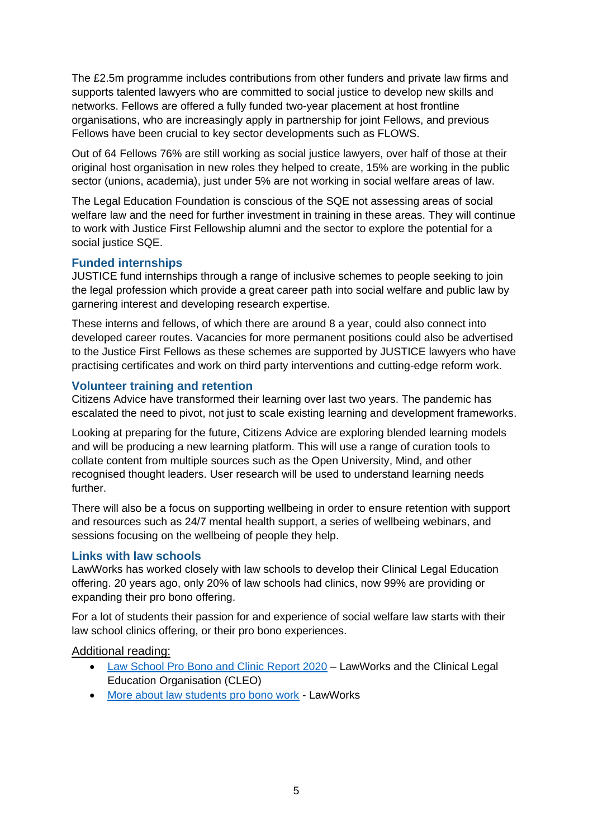The £2.5m programme includes contributions from other funders and private law firms and supports talented lawyers who are committed to social justice to develop new skills and networks. Fellows are offered a fully funded two-year placement at host frontline organisations, who are increasingly apply in partnership for joint Fellows, and previous Fellows have been crucial to key sector developments such as FLOWS.

Out of 64 Fellows 76% are still working as social justice lawyers, over half of those at their original host organisation in new roles they helped to create, 15% are working in the public sector (unions, academia), just under 5% are not working in social welfare areas of law.

The Legal Education Foundation is conscious of the SQE not assessing areas of social welfare law and the need for further investment in training in these areas. They will continue to work with Justice First Fellowship alumni and the sector to explore the potential for a social justice SQE.

#### **Funded internships**

JUSTICE fund internships through a range of inclusive schemes to people seeking to join the legal profession which provide a great career path into social welfare and public law by garnering interest and developing research expertise.

These interns and fellows, of which there are around 8 a year, could also connect into developed career routes. Vacancies for more permanent positions could also be advertised to the Justice First Fellows as these schemes are supported by JUSTICE lawyers who have practising certificates and work on third party interventions and cutting-edge reform work.

#### **Volunteer training and retention**

Citizens Advice have transformed their learning over last two years. The pandemic has escalated the need to pivot, not just to scale existing learning and development frameworks.

Looking at preparing for the future, Citizens Advice are exploring blended learning models and will be producing a new learning platform. This will use a range of curation tools to collate content from multiple sources such as the Open University, Mind, and other recognised thought leaders. User research will be used to understand learning needs further.

There will also be a focus on supporting wellbeing in order to ensure retention with support and resources such as 24/7 mental health support, a series of wellbeing webinars, and sessions focusing on the wellbeing of people they help.

#### **Links with law schools**

LawWorks has worked closely with law schools to develop their Clinical Legal Education offering. 20 years ago, only 20% of law schools had clinics, now 99% are providing or expanding their pro bono offering.

For a lot of students their passion for and experience of social welfare law starts with their law school clinics offering, or their pro bono experiences.

# Additional reading:

- [Law School Pro Bono and Clinic Report 2020](https://www.lawworks.org.uk/sites/default/files/files/LawWorks%20Law%20Schools%20Report%202020_0.pdf) LawWorks and the Clinical Legal Education Organisation (CLEO)
- [More about law students pro bono work](https://www.lawworks.org.uk/solicitors-and-volunteers/get-involved/law-schools-and-student-pro-bono) LawWorks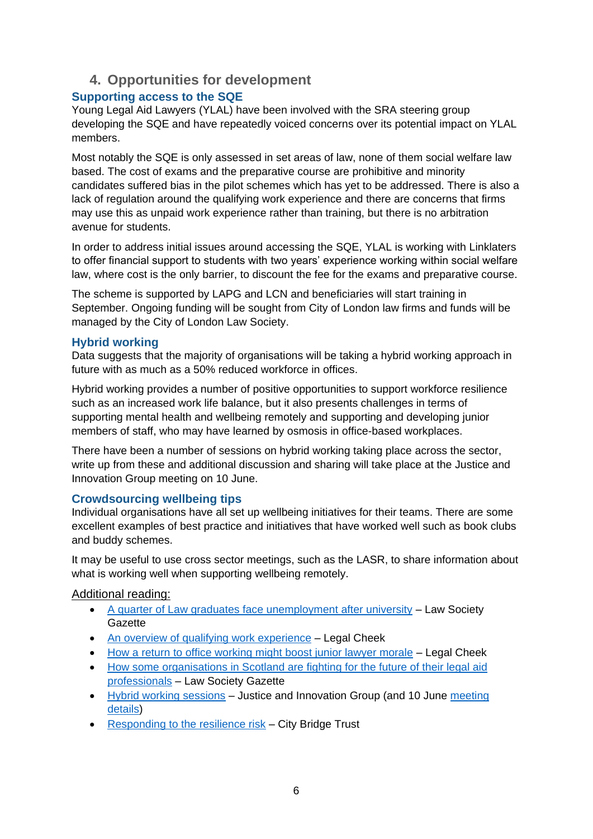# **4. Opportunities for development**

# **Supporting access to the SQE**

Young Legal Aid Lawyers (YLAL) have been involved with the SRA steering group developing the SQE and have repeatedly voiced concerns over its potential impact on YLAL members.

Most notably the SQE is only assessed in set areas of law, none of them social welfare law based. The cost of exams and the preparative course are prohibitive and minority candidates suffered bias in the pilot schemes which has yet to be addressed. There is also a lack of regulation around the qualifying work experience and there are concerns that firms may use this as unpaid work experience rather than training, but there is no arbitration avenue for students.

In order to address initial issues around accessing the SQE, YLAL is working with Linklaters to offer financial support to students with two years' experience working within social welfare law, where cost is the only barrier, to discount the fee for the exams and preparative course.

The scheme is supported by LAPG and LCN and beneficiaries will start training in September. Ongoing funding will be sought from City of London law firms and funds will be managed by the City of London Law Society.

# **Hybrid working**

Data suggests that the majority of organisations will be taking a hybrid working approach in future with as much as a 50% reduced workforce in offices.

Hybrid working provides a number of positive opportunities to support workforce resilience such as an increased work life balance, but it also presents challenges in terms of supporting mental health and wellbeing remotely and supporting and developing junior members of staff, who may have learned by osmosis in office-based workplaces.

There have been a number of sessions on hybrid working taking place across the sector, write up from these and additional discussion and sharing will take place at the Justice and Innovation Group meeting on 10 June.

# **Crowdsourcing wellbeing tips**

Individual organisations have all set up wellbeing initiatives for their teams. There are some excellent examples of best practice and initiatives that have worked well such as book clubs and buddy schemes.

It may be useful to use cross sector meetings, such as the LASR, to share information about what is working well when supporting wellbeing remotely.

# Additional reading:

- [A quarter of Law graduates face unemployment after university](https://www.lawgazette.co.uk/news/quarter-of-law-grads-face-unemployment-after-university/5108648.article) Law Society **Gazette**
- [An overview of qualifying work experience](https://www.legalcheek.com/lc-careers-posts/what-does-the-introduction-of-qualifying-work-experience-mean-for-law-students/) Legal Cheek
- [How a return to office working might boost junior lawyer morale](https://www.legalcheek.com/2021/05/will-office-returns-boost-junior-lawyer-morale/) Legal Cheek
- How some organisations in Scotland are fighting for the future of their legal aid [professionals](https://www.lawgazette.co.uk/news/activist-scottish-lawyers-lobby-for-legal-aid-support/5108603.article) – Law Society Gazette
- [Hybrid working sessions](https://drive.google.com/drive/folders/1pSGBZODqUk2CdkdRrZeDYDX_ZSXbm_tF?usp=sharing) Justice and Innovation Group (and 10 June [meeting](https://nfj.org.uk/events/june-justice-and-innovation-group)  [details\)](https://nfj.org.uk/events/june-justice-and-innovation-group)
- [Responding to the resilience risk](https://www.citybridgetrust.org.uk/responding-to-the-resilience-risk/) City Bridge Trust